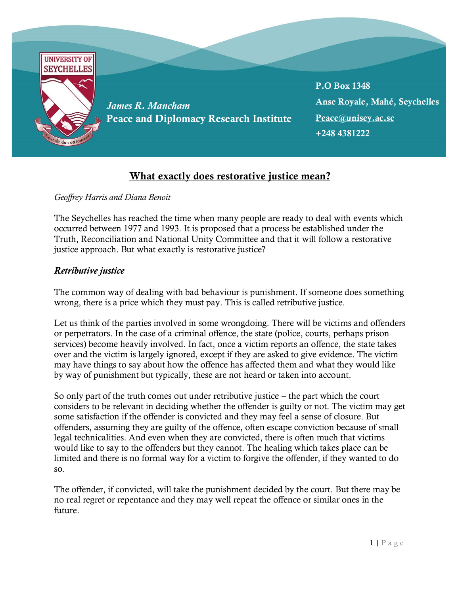

## What exactly does restorative justice mean?

## *Geoffrey Harris and Diana Benoit*

The Seychelles has reached the time when many people are ready to deal with events which occurred between 1977 and 1993. It is proposed that a process be established under the Truth, Reconciliation and National Unity Committee and that it will follow a restorative justice approach. But what exactly is restorative justice?

## *Retributive justice*

The common way of dealing with bad behaviour is punishment. If someone does something wrong, there is a price which they must pay. This is called retributive justice.

Let us think of the parties involved in some wrongdoing. There will be victims and offenders or perpetrators. In the case of a criminal offence, the state (police, courts, perhaps prison services) become heavily involved. In fact, once a victim reports an offence, the state takes over and the victim is largely ignored, except if they are asked to give evidence. The victim may have things to say about how the offence has affected them and what they would like by way of punishment but typically, these are not heard or taken into account.

So only part of the truth comes out under retributive justice – the part which the court considers to be relevant in deciding whether the offender is guilty or not. The victim may get some satisfaction if the offender is convicted and they may feel a sense of closure. But offenders, assuming they are guilty of the offence, often escape conviction because of small legal technicalities. And even when they are convicted, there is often much that victims would like to say to the offenders but they cannot. The healing which takes place can be limited and there is no formal way for a victim to forgive the offender, if they wanted to do so.

The offender, if convicted, will take the punishment decided by the court. But there may be no real regret or repentance and they may well repeat the offence or similar ones in the future.